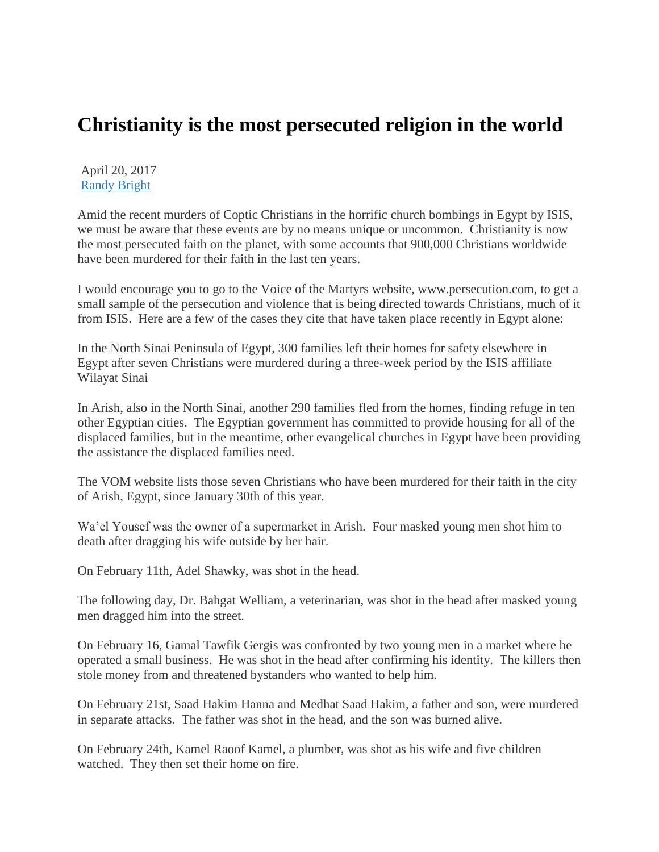## **Christianity is the most persecuted religion in the world**

April 20, 2017 [Randy Bright](http://tulsabeacon.com/author/randy-bright/)

Amid the recent murders of Coptic Christians in the horrific church bombings in Egypt by ISIS, we must be aware that these events are by no means unique or uncommon. Christianity is now the most persecuted faith on the planet, with some accounts that 900,000 Christians worldwide have been murdered for their faith in the last ten years.

I would encourage you to go to the Voice of the Martyrs website, www.persecution.com, to get a small sample of the persecution and violence that is being directed towards Christians, much of it from ISIS. Here are a few of the cases they cite that have taken place recently in Egypt alone:

In the North Sinai Peninsula of Egypt, 300 families left their homes for safety elsewhere in Egypt after seven Christians were murdered during a three-week period by the ISIS affiliate Wilayat Sinai

In Arish, also in the North Sinai, another 290 families fled from the homes, finding refuge in ten other Egyptian cities. The Egyptian government has committed to provide housing for all of the displaced families, but in the meantime, other evangelical churches in Egypt have been providing the assistance the displaced families need.

The VOM website lists those seven Christians who have been murdered for their faith in the city of Arish, Egypt, since January 30th of this year.

Wa'el Yousef was the owner of a supermarket in Arish. Four masked young men shot him to death after dragging his wife outside by her hair.

On February 11th, Adel Shawky, was shot in the head.

The following day, Dr. Bahgat Welliam, a veterinarian, was shot in the head after masked young men dragged him into the street.

On February 16, Gamal Tawfik Gergis was confronted by two young men in a market where he operated a small business. He was shot in the head after confirming his identity. The killers then stole money from and threatened bystanders who wanted to help him.

On February 21st, Saad Hakim Hanna and Medhat Saad Hakim, a father and son, were murdered in separate attacks. The father was shot in the head, and the son was burned alive.

On February 24th, Kamel Raoof Kamel, a plumber, was shot as his wife and five children watched. They then set their home on fire.